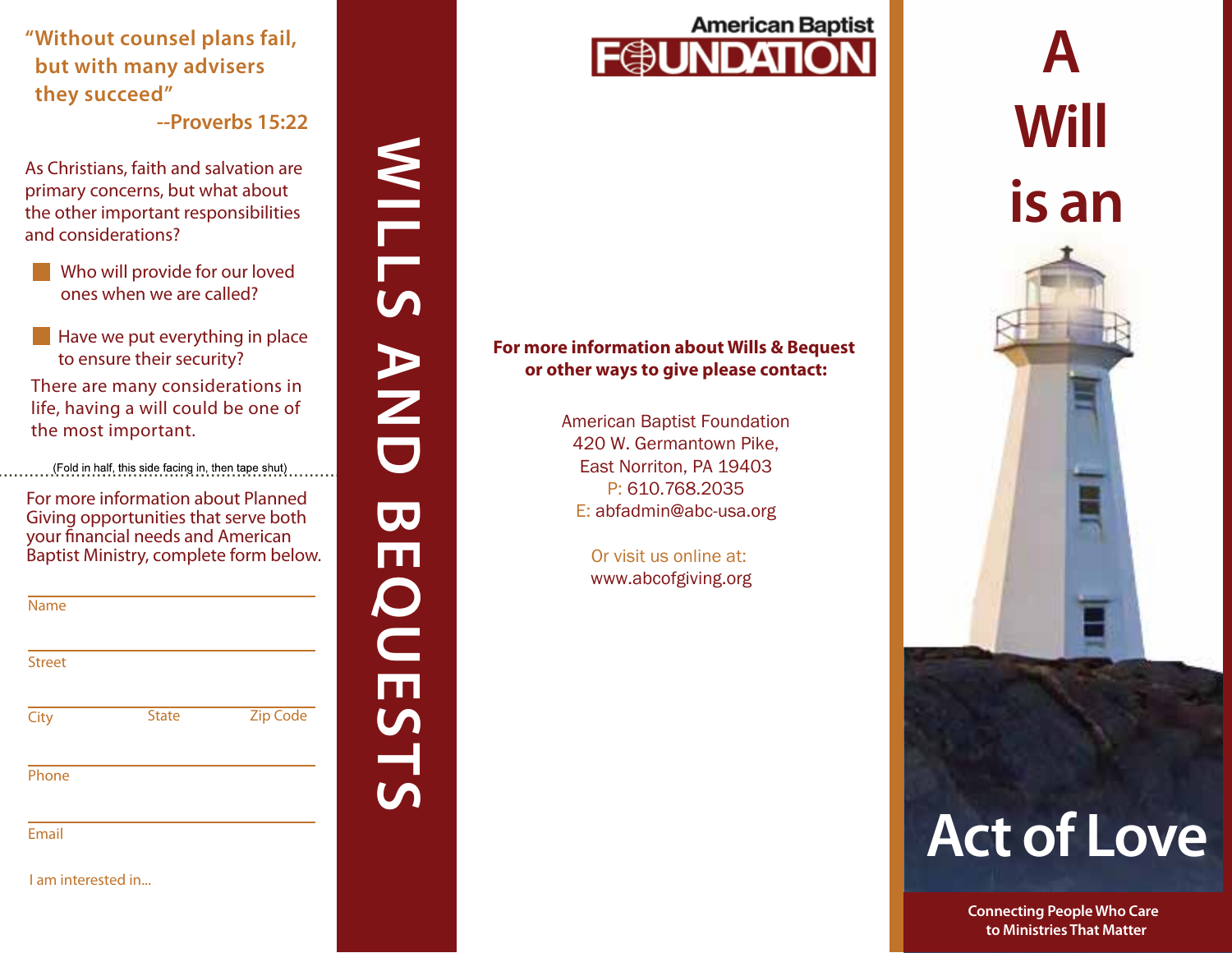**"Without counsel plans fail, but with many advisers they succeed"** 

**--Proverbs 15:22**

As Christians, faith and salvation are primary concerns, but what about the other important responsibilities and considerations?

- Who will provide for our loved ones when we are called?
- $\blacksquare$  Have we put everything in place to ensure their security?

There are many considerations in life, having a will could be one of the most important.

(Fold in half, this side facing in, then tape shut)

WILLS AND BEQUESTS

 $\overline{\mathbf{C}}$ 

ш

QUESTS

AND

**MILLS** 

For more information about Planned Giving opportunities that serve both your financial needs and American Baptist Ministry, complete form below.

| Name          |              |                 |
|---------------|--------------|-----------------|
| <b>Street</b> |              |                 |
| City          | <b>State</b> | <b>Zip Code</b> |
| Phone         |              |                 |

Email

I am interested in...



### **For more information about Wills & Bequest or other ways to give please contact:**

American Baptist Foundation 420 W. Germantown Pike, East Norriton, PA 19403 P: 610.768.2035 E: abfadmin@abc-usa.org

> Or visit us online at: www.abcofgiving.org

**A Will is an**

# **Act of Love**

**Connecting People Who Care to Ministries That Matter**